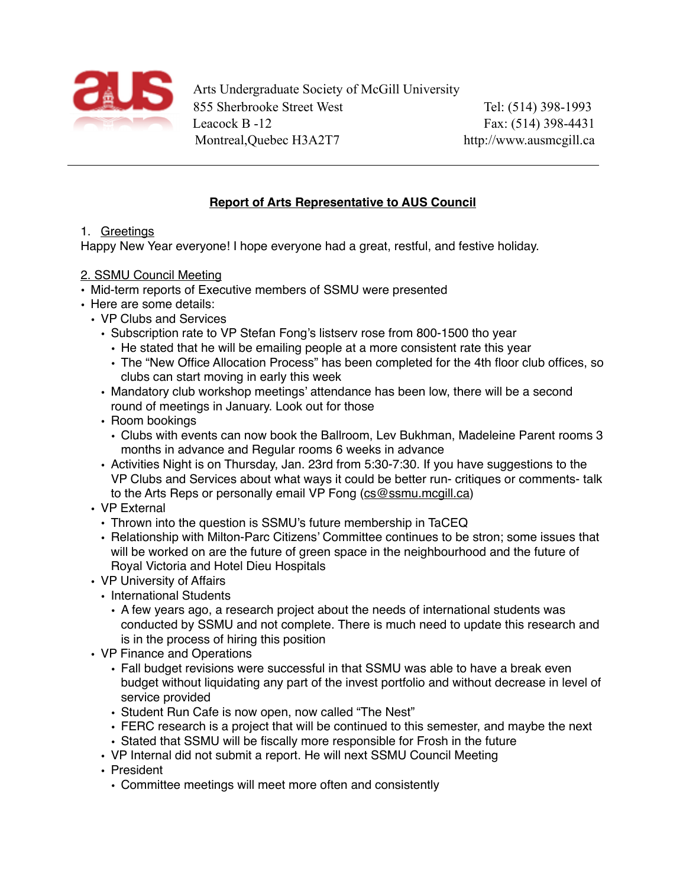

Arts Undergraduate Society of McGill University 855 Sherbrooke Street West Tel: (514) 398-1993 Leacock B -12 Fax: (514) 398-4431 Montreal,Quebec H3A2T7 http://www.ausmcgill.ca

# **Report of Arts Representative to AUS Council**

### 1. Greetings

Happy New Year everyone! I hope everyone had a great, restful, and festive holiday.

### 2. SSMU Council Meeting

- Mid-term reports of Executive members of SSMU were presented
- Here are some details:
	- VP Clubs and Services
		- Subscription rate to VP Stefan Fong's listserv rose from 800-1500 tho year
			- He stated that he will be emailing people at a more consistent rate this year
			- The "New Office Allocation Process" has been completed for the 4th floor club offices, so clubs can start moving in early this week
		- Mandatory club workshop meetings' attendance has been low, there will be a second round of meetings in January. Look out for those
		- Room bookings
			- Clubs with events can now book the Ballroom, Lev Bukhman, Madeleine Parent rooms 3 months in advance and Regular rooms 6 weeks in advance
		- Activities Night is on Thursday, Jan. 23rd from 5:30-7:30. If you have suggestions to the VP Clubs and Services about what ways it could be better run- critiques or comments- talk to the Arts Reps or personally email VP Fong [\(cs@ssmu.mcgill.ca](mailto:cs@ssmu.mcgill.ca))
	- VP External
		- Thrown into the question is SSMU's future membership in TaCEQ
		- Relationship with Milton-Parc Citizens' Committee continues to be stron; some issues that will be worked on are the future of green space in the neighbourhood and the future of Royal Victoria and Hotel Dieu Hospitals
	- VP University of Affairs
		- International Students
			- A few years ago, a research project about the needs of international students was conducted by SSMU and not complete. There is much need to update this research and is in the process of hiring this position
	- VP Finance and Operations
		- Fall budget revisions were successful in that SSMU was able to have a break even budget without liquidating any part of the invest portfolio and without decrease in level of service provided
		- Student Run Cafe is now open, now called "The Nest"
		- FERC research is a project that will be continued to this semester, and maybe the next • Stated that SSMU will be fiscally more responsible for Frosh in the future
		- VP Internal did not submit a report. He will next SSMU Council Meeting
		- President
			- Committee meetings will meet more often and consistently